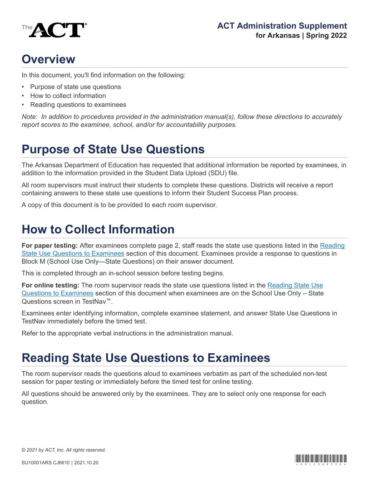

# **Overview**

In this document, you'll find information on the following:

- Purpose of state use questions
- How to collect information
- Reading questions to examinees

*Note: In addition to procedures provided in the administration manual(s), follow these directions to accurately report scores to the examinee, school, and/or for accountability purposes.*

### **Purpose of State Use Questions**

The Arkansas Department of Education has requested that additional information be reported by examinees, in addition to the information provided in the Student Data Upload (SDU) file.

All room supervisors must instruct their students to complete these questions. Districts will receive a report containing answers to these state use questions to inform their Student Success Plan process.

A copy of this document is to be provided to each room supervisor.

#### **How to Collect Information**

**For paper testing:** After examinees complete page 2, staff reads the state use questions listed in the [Reading](#page-0-0) [State Use Questions to Examinees](#page-0-0) section of this document. Examinees provide a response to questions in Block M (School Use Only—State Questions) on their answer document.

This is completed through an in-school session before testing begins.

**For online testing:** The room supervisor reads the state use questions listed in the [Reading State Use](#page-0-0) [Questions to Examinees](#page-0-0) section of this document when examinees are on the School Use Only – State Questions screen in TestNav™.

Examinees enter identifying information, complete examinee statement, and answer State Use Questions in TestNav immediately before the timed test.

Refer to the appropriate verbal instructions in the administration manual.

## <span id="page-0-0"></span>**Reading State Use Questions to Examinees**

The room supervisor reads the questions aloud to examinees verbatim as part of the scheduled non-test session for paper testing or immediately before the timed test for online testing.

All questions should be answered only by the examinees. They are to select only one response for each question.

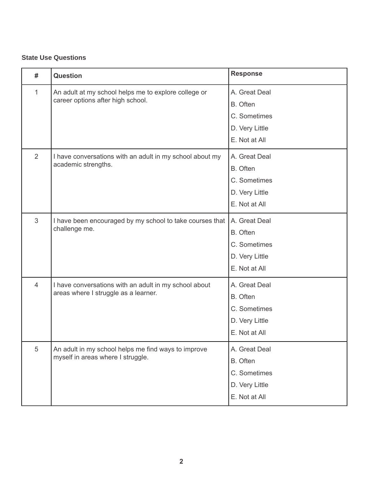#### **State Use Questions**

| #              | <b>Question</b>                                                                               | <b>Response</b>                                                              |
|----------------|-----------------------------------------------------------------------------------------------|------------------------------------------------------------------------------|
| $\mathbf{1}$   | An adult at my school helps me to explore college or<br>career options after high school.     | A. Great Deal<br>B. Often<br>C. Sometimes<br>D. Very Little<br>E. Not at All |
| $\overline{2}$ | I have conversations with an adult in my school about my<br>academic strengths.               | A. Great Deal<br>B. Often<br>C. Sometimes<br>D. Very Little<br>E. Not at All |
| 3              | I have been encouraged by my school to take courses that<br>challenge me.                     | A. Great Deal<br>B. Often<br>C. Sometimes<br>D. Very Little<br>E. Not at All |
| $\overline{4}$ | I have conversations with an adult in my school about<br>areas where I struggle as a learner. | A. Great Deal<br>B. Often<br>C. Sometimes<br>D. Very Little<br>E. Not at All |
| $\sqrt{5}$     | An adult in my school helps me find ways to improve<br>myself in areas where I struggle.      | A. Great Deal<br>B. Often<br>C. Sometimes<br>D. Very Little<br>E. Not at All |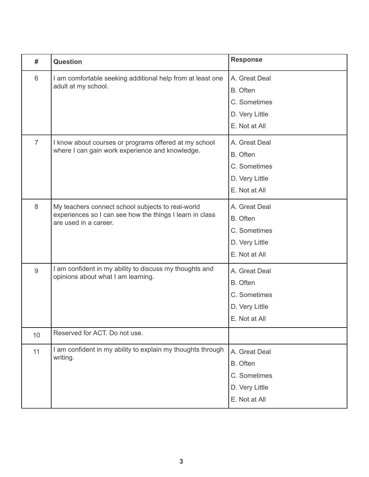| #              | <b>Question</b>                                                                                                                        | <b>Response</b> |
|----------------|----------------------------------------------------------------------------------------------------------------------------------------|-----------------|
| 6              | I am comfortable seeking additional help from at least one<br>adult at my school.                                                      | A. Great Deal   |
|                |                                                                                                                                        | B. Often        |
|                |                                                                                                                                        | C. Sometimes    |
|                |                                                                                                                                        | D. Very Little  |
|                |                                                                                                                                        | E. Not at All   |
| $\overline{7}$ | I know about courses or programs offered at my school<br>where I can gain work experience and knowledge.                               | A. Great Deal   |
|                |                                                                                                                                        | B. Often        |
|                |                                                                                                                                        | C. Sometimes    |
|                |                                                                                                                                        | D. Very Little  |
|                |                                                                                                                                        | E. Not at All   |
| 8              | My teachers connect school subjects to real-world<br>experiences so I can see how the things I learn in class<br>are used in a career. | A. Great Deal   |
|                |                                                                                                                                        | B. Often        |
|                |                                                                                                                                        | C. Sometimes    |
|                |                                                                                                                                        | D. Very Little  |
|                |                                                                                                                                        | E. Not at All   |
| $\overline{9}$ | I am confident in my ability to discuss my thoughts and<br>opinions about what I am learning.                                          | A. Great Deal   |
|                |                                                                                                                                        | B. Often        |
|                |                                                                                                                                        | C. Sometimes    |
|                |                                                                                                                                        | D. Very Little  |
|                |                                                                                                                                        | E. Not at All   |
| 10             | Reserved for ACT. Do not use.                                                                                                          |                 |
| 11             | I am confident in my ability to explain my thoughts through<br>writing.                                                                | A. Great Deal   |
|                |                                                                                                                                        | B. Often        |
|                |                                                                                                                                        | C. Sometimes    |
|                |                                                                                                                                        | D. Very Little  |
|                |                                                                                                                                        | E. Not at All   |